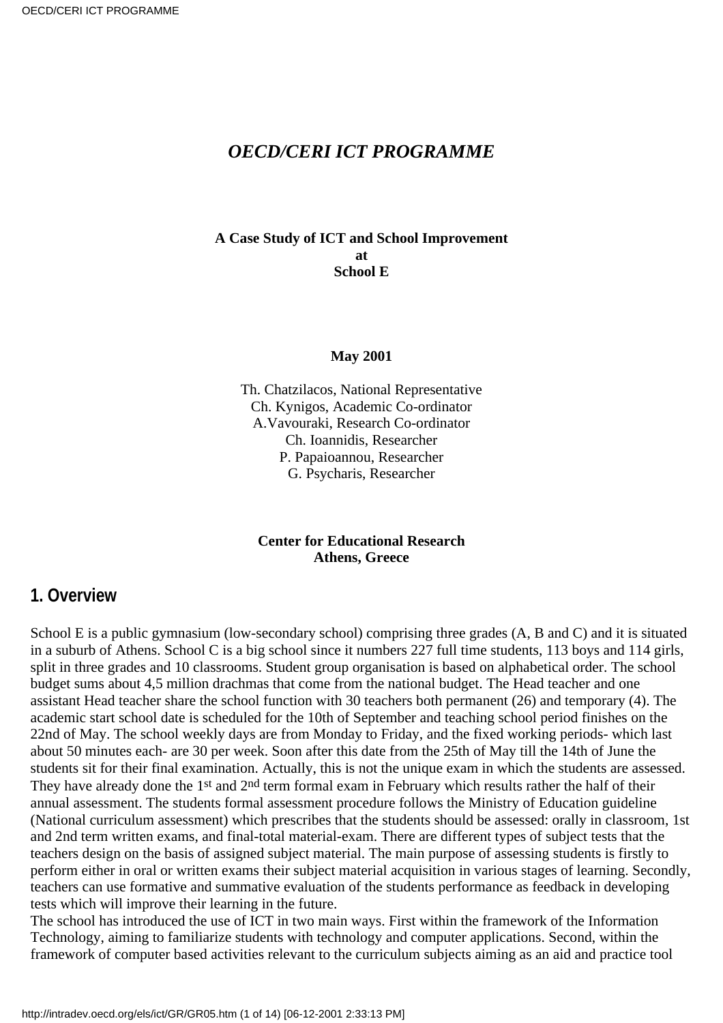### *OECD/CERI ICT PROGRAMME*

#### **A Case Study of ICT and School Improvement at School E**

#### **May 2001**

Th. Chatzilacos, National Representative Ch. Kynigos, Academic Co-ordinator A.Vavouraki, Research Co-ordinator Ch. Ioannidis, Researcher P. Papaioannou, Researcher G. Psycharis, Researcher

#### **Center for Educational Research Athens, Greece**

### **1. Overview**

School E is a public gymnasium (low-secondary school) comprising three grades (A, B and C) and it is situated in a suburb of Athens. School C is a big school since it numbers 227 full time students, 113 boys and 114 girls, split in three grades and 10 classrooms. Student group organisation is based on alphabetical order. The school budget sums about 4,5 million drachmas that come from the national budget. The Head teacher and one assistant Head teacher share the school function with 30 teachers both permanent (26) and temporary (4). The academic start school date is scheduled for the 10th of September and teaching school period finishes on the 22nd of May. The school weekly days are from Monday to Friday, and the fixed working periods- which last about 50 minutes each- are 30 per week. Soon after this date from the 25th of May till the 14th of June the students sit for their final examination. Actually, this is not the unique exam in which the students are assessed. They have already done the 1<sup>st</sup> and 2<sup>nd</sup> term formal exam in February which results rather the half of their annual assessment. The students formal assessment procedure follows the Ministry of Education guideline (National curriculum assessment) which prescribes that the students should be assessed: orally in classroom, 1st and 2nd term written exams, and final-total material-exam. There are different types of subject tests that the teachers design on the basis of assigned subject material. The main purpose of assessing students is firstly to perform either in oral or written exams their subject material acquisition in various stages of learning. Secondly, teachers can use formative and summative evaluation of the students performance as feedback in developing tests which will improve their learning in the future.

The school has introduced the use of ICT in two main ways. First within the framework of the Information Technology, aiming to familiarize students with technology and computer applications. Second, within the framework of computer based activities relevant to the curriculum subjects aiming as an aid and practice tool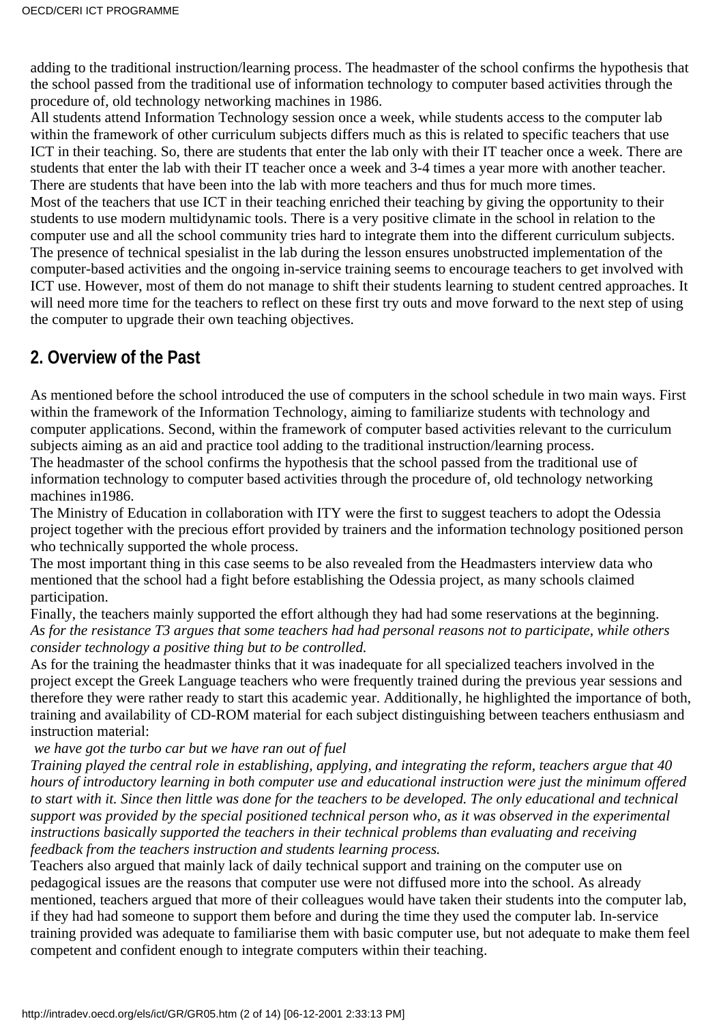adding to the traditional instruction/learning process. The headmaster of the school confirms the hypothesis that the school passed from the traditional use of information technology to computer based activities through the procedure of, old technology networking machines in 1986.

All students attend Information Technology session once a week, while students access to the computer lab within the framework of other curriculum subjects differs much as this is related to specific teachers that use ICT in their teaching. So, there are students that enter the lab only with their IT teacher once a week. There are students that enter the lab with their IT teacher once a week and 3-4 times a year more with another teacher. There are students that have been into the lab with more teachers and thus for much more times.

Most of the teachers that use ICT in their teaching enriched their teaching by giving the opportunity to their students to use modern multidynamic tools. There is a very positive climate in the school in relation to the computer use and all the school community tries hard to integrate them into the different curriculum subjects. The presence of technical spesialist in the lab during the lesson ensures unobstructed implementation of the computer-based activities and the ongoing in-service training seems to encourage teachers to get involved with ICT use. However, most of them do not manage to shift their students learning to student centred approaches. It will need more time for the teachers to reflect on these first try outs and move forward to the next step of using the computer to upgrade their own teaching objectives.

# **2. Overview of the Past**

As mentioned before the school introduced the use of computers in the school schedule in two main ways. First within the framework of the Information Technology, aiming to familiarize students with technology and computer applications. Second, within the framework of computer based activities relevant to the curriculum subjects aiming as an aid and practice tool adding to the traditional instruction/learning process.

The headmaster of the school confirms the hypothesis that the school passed from the traditional use of information technology to computer based activities through the procedure of, old technology networking machines in1986.

The Ministry of Education in collaboration with ITY were the first to suggest teachers to adopt the Odessia project together with the precious effort provided by trainers and the information technology positioned person who technically supported the whole process.

The most important thing in this case seems to be also revealed from the Headmaster s interview data who mentioned that the school had a fight before establishing the Odessia project, as many schools claimed participation.

Finally, the teachers mainly supported the effort although they had had some reservations at the beginning. *As for the resistance T3 argues that some teachers had had personal reasons not to participate, while others consider technology a positive thing but to be controlled.*

As for the training the headmaster thinks that it was inadequate for all specialized teachers involved in the project except the Greek Language teachers who were frequently trained during the previous year sessions and therefore they were rather ready to start this academic year. Additionally, he highlighted the importance of both, training and availability of CD-ROM material for each subject distinguishing between teachers enthusiasm and instruction material:

 *we have got the turbo car but we have ran out of fuel*

*Training played the central role in establishing, applying, and integrating the reform, teachers argue that 40 hours of introductory learning in both computer use and educational instruction were just the minimum offered to start with it. Since then little was done for the teachers to be developed. The only educational and technical support was provided by the special positioned technical person who, as it was observed in the experimental instructions basically supported the teachers in their technical problems than evaluating and receiving feedback from the teachers instruction and students learning process.*

Teachers also argued that mainly lack of daily technical support and training on the computer use on pedagogical issues are the reasons that computer use were not diffused more into the school. As already mentioned, teachers argued that more of their colleagues would have taken their students into the computer lab, if they had had someone to support them before and during the time they used the computer lab. In-service training provided was adequate to familiarise them with basic computer use, but not adequate to make them feel competent and confident enough to integrate computers within their teaching.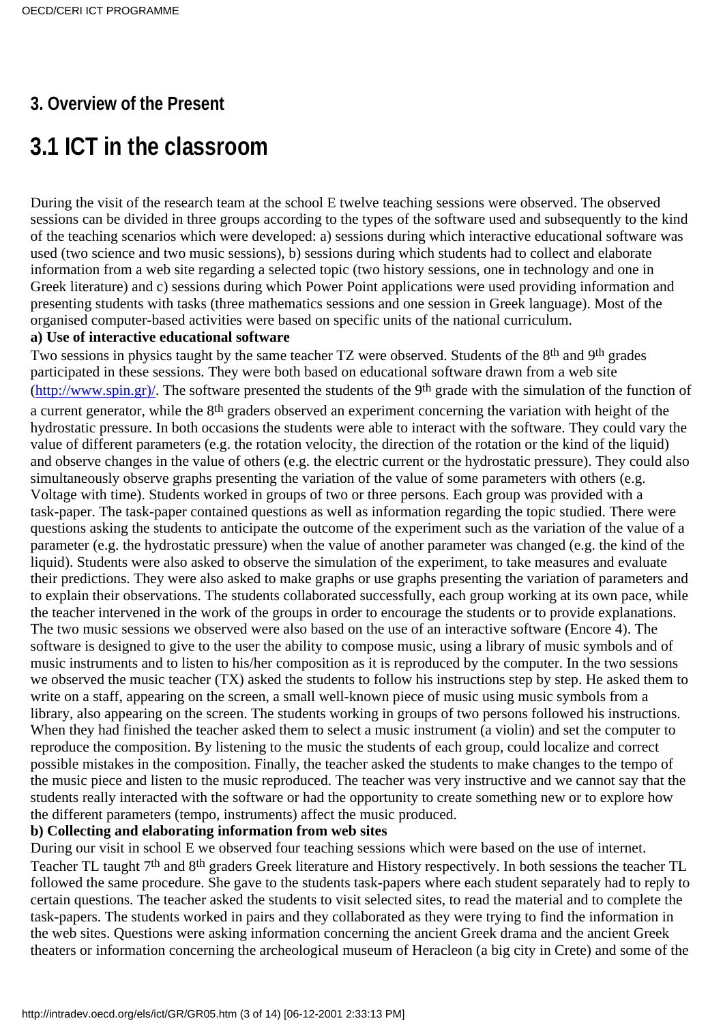# **3. Overview of the Present**

# **3.1 ICT in the classroom**

During the visit of the research team at the school E twelve teaching sessions were observed. The observed sessions can be divided in three groups according to the types of the software used and subsequently to the kind of the teaching scenarios which were developed: a) sessions during which interactive educational software was used (two science and two music sessions), b) sessions during which students had to collect and elaborate information from a web site regarding a selected topic (two history sessions, one in technology and one in Greek literature) and c) sessions during which Power Point applications were used providing information and presenting students with tasks (three mathematics sessions and one session in Greek language). Most of the organised computer-based activities were based on specific units of the national curriculum.

#### **a) Use of interactive educational software**

Two sessions in physics taught by the same teacher TZ were observed. Students of the 8<sup>th</sup> and 9<sup>th</sup> grades participated in these sessions. They were both based on educational software drawn from a web site [\(http://www.spin.gr\)/.](http://www.spin.gr)/) The software presented the students of the 9th grade with the simulation of the function of a current generator, while the 8<sup>th</sup> graders observed an experiment concerning the variation with height of the hydrostatic pressure. In both occasions the students were able to interact with the software. They could vary the value of different parameters (e.g. the rotation velocity, the direction of the rotation or the kind of the liquid) and observe changes in the value of others (e.g. the electric current or the hydrostatic pressure). They could also simultaneously observe graphs presenting the variation of the value of some parameters with others (e.g. Voltage with time). Students worked in groups of two or three persons. Each group was provided with a task-paper. The task-paper contained questions as well as information regarding the topic studied. There were questions asking the students to anticipate the outcome of the experiment such as the variation of the value of a parameter (e.g. the hydrostatic pressure) when the value of another parameter was changed (e.g. the kind of the liquid). Students were also asked to observe the simulation of the experiment, to take measures and evaluate their predictions. They were also asked to make graphs or use graphs presenting the variation of parameters and to explain their observations. The students collaborated successfully, each group working at its own pace, while the teacher intervened in the work of the groups in order to encourage the students or to provide explanations. The two music sessions we observed were also based on the use of an interactive software (Encore 4). The software is designed to give to the user the ability to compose music, using a library of music symbols and of music instruments and to listen to his/her composition as it is reproduced by the computer. In the two sessions we observed the music teacher (TX) asked the students to follow his instructions step by step. He asked them to write on a staff, appearing on the screen, a small well-known piece of music using music symbols from a library, also appearing on the screen. The students working in groups of two persons followed his instructions. When they had finished the teacher asked them to select a music instrument (a violin) and set the computer to reproduce the composition. By listening to the music the students of each group, could localize and correct possible mistakes in the composition. Finally, the teacher asked the students to make changes to the tempo of the music piece and listen to the music reproduced. The teacher was very instructive and we cannot say that the students really interacted with the software or had the opportunity to create something new or to explore how the different parameters (tempo, instruments) affect the music produced.

### **b) Collecting and elaborating information from web sites**

During our visit in school E we observed four teaching sessions which were based on the use of internet. Teacher TL taught 7th and 8th graders Greek literature and History respectively. In both sessions the teacher TL followed the same procedure. She gave to the students task-papers where each student separately had to reply to certain questions. The teacher asked the students to visit selected sites, to read the material and to complete the task-papers. The students worked in pairs and they collaborated as they were trying to find the information in the web sites. Questions were asking information concerning the ancient Greek drama and the ancient Greek theaters or information concerning the archeological museum of Heracleon (a big city in Crete) and some of the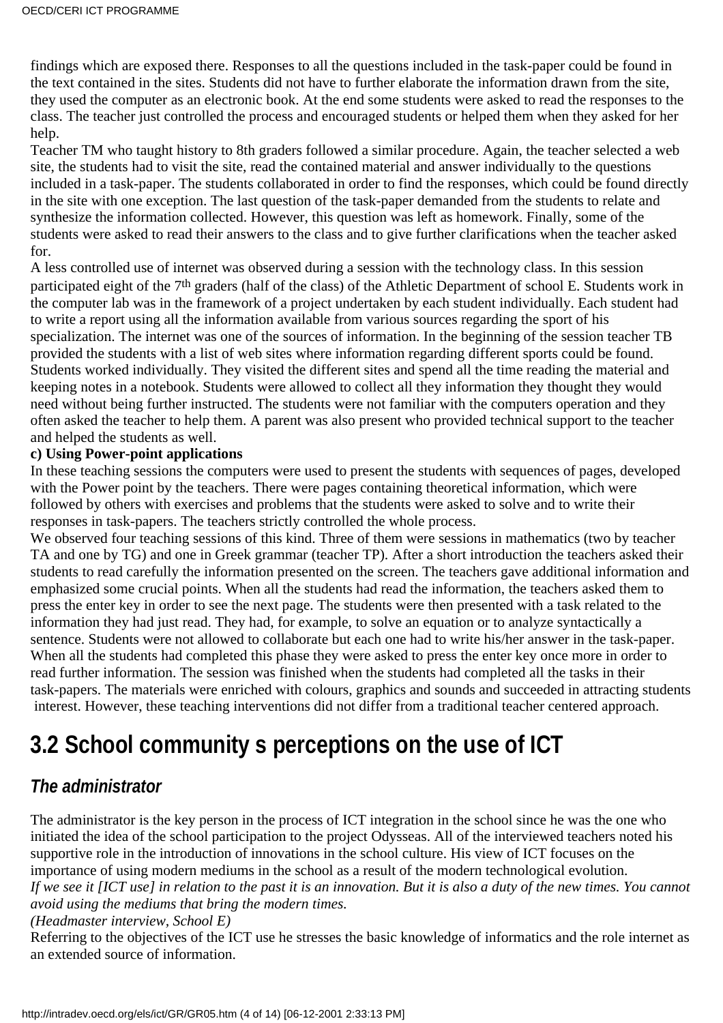findings which are exposed there. Responses to all the questions included in the task-paper could be found in the text contained in the sites. Students did not have to further elaborate the information drawn from the site, they used the computer as an electronic book. At the end some students were asked to read the responses to the class. The teacher just controlled the process and encouraged students or helped them when they asked for her help.

Teacher TM who taught history to 8th graders followed a similar procedure. Again, the teacher selected a web site, the students had to visit the site, read the contained material and answer individually to the questions included in a task-paper. The students collaborated in order to find the responses, which could be found directly in the site with one exception. The last question of the task-paper demanded from the students to relate and synthesize the information collected. However, this question was left as homework. Finally, some of the students were asked to read their answers to the class and to give further clarifications when the teacher asked for.

A less controlled use of internet was observed during a session with the technology class. In this session participated eight of the 7th graders (half of the class) of the Athletic Department of school E. Students work in the computer lab was in the framework of a project undertaken by each student individually. Each student had to write a report using all the information available from various sources regarding the sport of his specialization. The internet was one of the sources of information. In the beginning of the session teacher TB provided the students with a list of web sites where information regarding different sports could be found. Students worked individually. They visited the different sites and spend all the time reading the material and keeping notes in a notebook. Students were allowed to collect all they information they thought they would need without being further instructed. The students were not familiar with the computers operation and they often asked the teacher to help them. A parent was also present who provided technical support to the teacher and helped the students as well.

#### **c) Using Power-point applications**

In these teaching sessions the computers were used to present the students with sequences of pages, developed with the Power point by the teachers. There were pages containing theoretical information, which were followed by others with exercises and problems that the students were asked to solve and to write their responses in task-papers. The teachers strictly controlled the whole process.

We observed four teaching sessions of this kind. Three of them were sessions in mathematics (two by teacher TA and one by TG) and one in Greek grammar (teacher TP). After a short introduction the teachers asked their students to read carefully the information presented on the screen. The teachers gave additional information and emphasized some crucial points. When all the students had read the information, the teachers asked them to press the enter key in order to see the next page. The students were then presented with a task related to the information they had just read. They had, for example, to solve an equation or to analyze syntactically a sentence. Students were not allowed to collaborate but each one had to write his/her answer in the task-paper. When all the students had completed this phase they were asked to press the enter key once more in order to read further information. The session was finished when the students had completed all the tasks in their task-papers. The materials were enriched with colours, graphics and sounds and succeeded in attracting students interest. However, these teaching interventions did not differ from a traditional teacher centered approach.

# **3.2 School communitys perceptions on the use of ICT**

### *The administrator*

The administrator is the key person in the process of ICT integration in the school since he was the one who initiated the idea of the school participation to the project Odysseas. All of the interviewed teachers noted his supportive role in the introduction of innovations in the school culture. His view of ICT focuses on the importance of using modern mediums in the school as a result of the modern technological evolution. *If we see it [ICT use] in relation to the past it is an innovation. But it is also a duty of the new times. You cannot avoid using the mediums that bring the modern times.*

*(Headmaster interview, School E)*

Referring to the objectives of the ICT use he stresses the basic knowledge of informatics and the role internet as an extended source of information.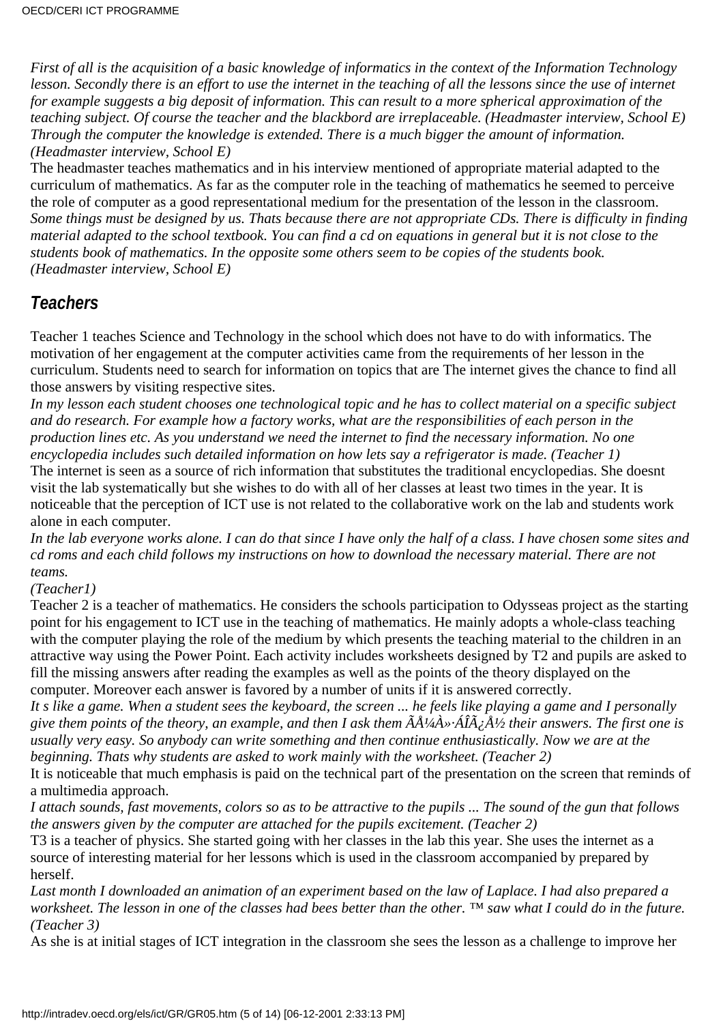*First of all is the acquisition of a basic knowledge of informatics in the context of the Information Technology lesson. Secondly there is an effort to use the internet in the teaching of all the lessons since the use of internet for example suggests a big deposit of information. This can result to a more spherical approximation of the teaching subject. Of course the teacher and the blackbord are irreplaceable. (Headmaster interview, School E) Through the computer the knowledge is extended. There is a much bigger the amount of information. (Headmaster interview, School E)*

The headmaster teaches mathematics and in his interview mentioned of appropriate material adapted to the curriculum of mathematics. As far as the computer role in the teaching of mathematics he seemed to perceive the role of computer as a good representational medium for the presentation of the lesson in the classroom. *Some things must be designed by us. That s because there are not appropriate CDs. There is difficulty in finding material adapted to the school textbook. You can find a cd on equations in general but it is not close to the student s book of mathematics. In the opposite some others seem to be copies of the student s book. (Headmaster interview, School E)*

# *Teachers*

Teacher 1 teaches Science and Technology in the school which does not have to do with informatics. The motivation of her engagement at the computer activities came from the requirements of her lesson in the curriculum. Students need to search for information on topics that are The internet gives the chance to find all those answers by visiting respective sites.

*In my lesson each student chooses one technological topic and he has to collect material on a specific subject and do research. For example how a factory works, what are the responsibilities of each person in the production lines etc. As you understand we need the internet to find the necessary information. No one encyclopedia includes such detailed information on how lets say a refrigerator is made. (Teacher 1)*

The internet is seen as a source of rich information that substitutes the traditional encyclopedias. She doesn t visit the lab systematically but she wishes to do with all of her classes at least two times in the year. It is noticeable that the perception of ICT use is not related to the collaborative work on the lab and students work alone in each computer.

*In the lab everyone works alone. I can do that since I have only the half of a class. I have chosen some sites and cd roms and each child follows my instructions on how to download the necessary material. There are not teams.*

#### *(Teacher1)*

Teacher 2 is a teacher of mathematics. He considers the schools participation to Odysseas project as the starting point for his engagement to ICT use in the teaching of mathematics. He mainly adopts a whole-class teaching with the computer playing the role of the medium by which presents the teaching material to the children in an attractive way using the Power Point. Each activity includes worksheets designed by T2 and pupils are asked to fill the missing answers after reading the examples as well as the points of the theory displayed on the computer. Moreover each answer is favored by a number of units if it is answered correctly.

*It s like a game. When a student sees the keyboard, the screen ... he feels like playing a game and I personally give them points of the theory, an example, and then I ask them ÃżÀ»·ÁÎÿŽ their answers. The first one is usually very easy. So anybody can write something and then continue enthusiastically. Now we are at the beginning. That s why students are asked to work mainly with the worksheet. (Teacher 2)* 

It is noticeable that much emphasis is paid on the technical part of the presentation on the screen that reminds of a multimedia approach.

*I attach sounds, fast movements, colors so as to be attractive to the pupils ... The sound of the gun that follows the answers given by the computer are attached for the pupil s excitement. (Teacher 2)* 

T3 is a teacher of physics. She started going with her classes in the lab this year. She uses the internet as a source of interesting material for her lessons which is used in the classroom accompanied by prepared by herself.

*Last month I downloaded an animation of an experiment based on the law of Laplace. I had also prepared a worksheet. The lesson in one of the classes had bees better than the other. ™ saw what I could do in the future. (Teacher 3)*

As she is at initial stages of ICT integration in the classroom she sees the lesson as a challenge to improve her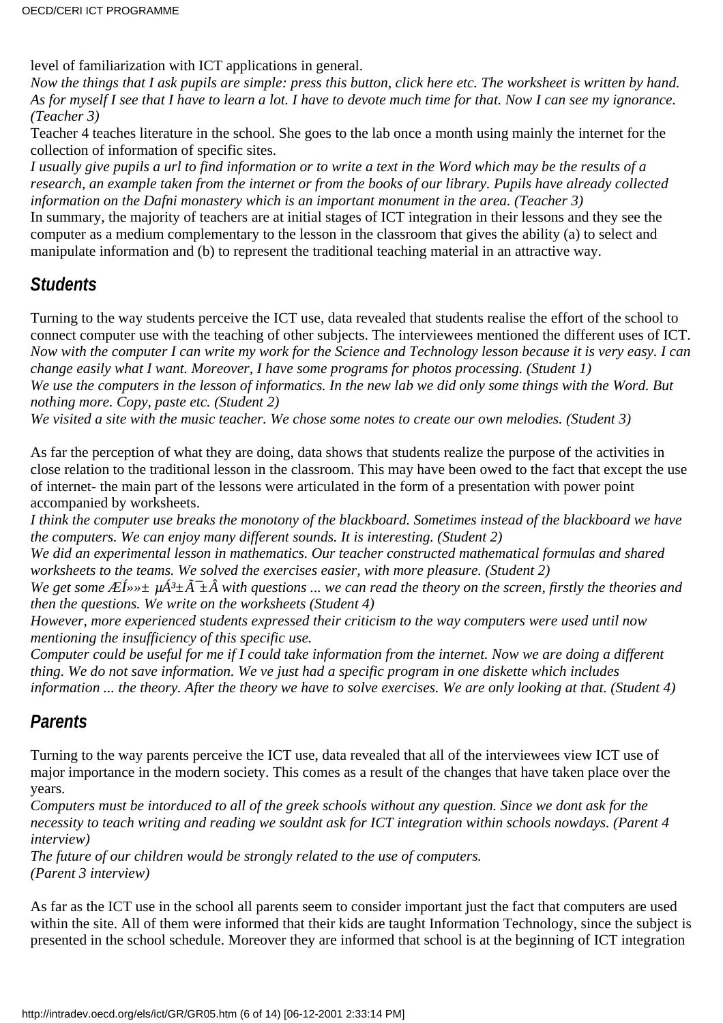level of familiarization with ICT applications in general.

*Now the things that I ask pupils are simple: press this button, click here etc. The worksheet is written by hand. As for myself I see that I have to learn a lot. I have to devote much time for that. Now I can see my ignorance. (Teacher 3)*

Teacher 4 teaches literature in the school. She goes to the lab once a month using mainly the internet for the collection of information of specific sites.

*I usually give pupils a url to find information or to write a text in the Word which may be the results of a research, an example taken from the internet or from the books of our library. Pupils have already collected information on the Dafni monastery which is an important monument in the area. (Teacher 3)* In summary, the majority of teachers are at initial stages of ICT integration in their lessons and they see the

computer as a medium complementary to the lesson in the classroom that gives the ability (a) to select and manipulate information and (b) to represent the traditional teaching material in an attractive way.

### *Students*

Turning to the way students perceive the ICT use, data revealed that students realise the effort of the school to connect computer use with the teaching of other subjects. The interviewees mentioned the different uses of ICT. *Now with the computer I can write my work for the Science and Technology lesson because it is very easy. I can change easily what I want. Moreover, I have some programs for photos processing. (Student 1) We use the computers in the lesson of informatics. In the new lab we did only some things with the Word. But nothing more. Copy, paste etc. (Student 2)*

*We visited a site with the music teacher. We chose some notes to create our own melodies. (Student 3)*

As far the perception of what they are doing, data shows that students realize the purpose of the activities in close relation to the traditional lesson in the classroom. This may have been owed to the fact that except the use of internet- the main part of the lessons were articulated in the form of a presentation with power point accompanied by worksheets.

*I think the computer use breaks the monotony of the blackboard. Sometimes instead of the blackboard we have the computers. We can enjoy many different sounds. It is interesting. (Student 2)*

*We did an experimental lesson in mathematics. Our teacher constructed mathematical formulas and shared worksheets to the teams. We solved the exercises easier, with more pleasure. (Student 2)*

*We get some*  $E(\vec{l}) \rightarrow \mu \vec{A}^3 \pm \vec{A}^2 \pm \hat{A}$  *with questions ... we can read the theory on the screen, firstly the theories and then the questions. We write on the worksheets (Student 4)*

*However, more experienced students expressed their criticism to the way computers were used until now mentioning the insufficiency of this specific use.*

*Computer could be useful for me if I could take information from the internet. Now we are doing a different thing. We do not save information. We ve just had a specific program in one diskette which includes information ... the theory. After the theory we have to solve exercises. We are only looking at that. (Student 4)*

### *Parents*

Turning to the way parents perceive the ICT use, data revealed that all of the interviewees view ICT use of major importance in the modern society. This comes as a result of the changes that have taken place over the years.

*Computers must be intorduced to all of the greek schools without any question. Since we dont ask for the necessity to teach writing and reading we souldn t ask for ICT integration within schools nowdays. (Parent 4 interview)*

*The future of our children would be strongly related to the use of computers. (Parent 3 interview)*

As far as the ICT use in the school all parents seem to consider important just the fact that computers are used within the site. All of them were informed that their kids are taught Information Technology, since the subject is presented in the school schedule. Moreover they are informed that school is at the beginning of ICT integration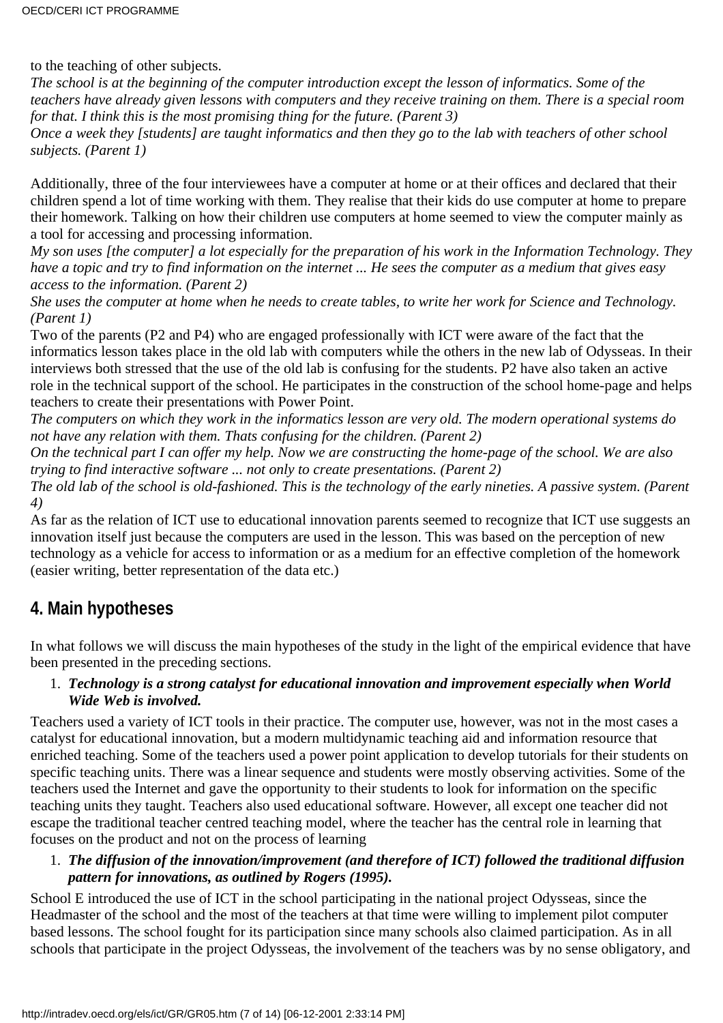to the teaching of other subjects.

*The school is at the beginning of the computer introduction except the lesson of informatics. Some of the teachers have already given lessons with computers and they receive training on them. There is a special room for that. I think this is the most promising thing for the future. (Parent 3)*

*Once a week they [students] are taught informatics and then they go to the lab with teachers of other school subjects. (Parent 1)*

Additionally, three of the four interviewees have a computer at home or at their offices and declared that their children spend a lot of time working with them. They realise that their kids do use computer at home to prepare their homework. Talking on how their children use computers at home seemed to view the computer mainly as a tool for accessing and processing information.

*My son uses [the computer] a lot especially for the preparation of his work in the Information Technology. They have a topic and try to find information on the internet ... He sees the computer as a medium that gives easy access to the information. (Parent 2)*

*She uses the computer at home when he needs to create tables, to write her work for Science and Technology. (Parent 1)*

Two of the parents (P2 and P4) who are engaged professionally with ICT were aware of the fact that the informatics lesson takes place in the old lab with computers while the others in the new lab of Odysseas. In their interviews both stressed that the use of the old lab is confusing for the students. P2 have also taken an active role in the technical support of the school. He participates in the construction of the school home-page and helps teachers to create their presentations with Power Point.

*The computers on which they work in the informatics lesson are very old. The modern operational systems do not have any relation with them. That s confusing for the children. (Parent 2)* 

*On the technical part I can offer my help. Now we are constructing the home-page of the school. We are also trying to find interactive software ... not only to create presentations. (Parent 2)*

*The old lab of the school is old-fashioned. This is the technology of the early nineties. A passive system. (Parent 4)*

As far as the relation of ICT use to educational innovation parents seemed to recognize that ICT use suggests an innovation itself just because the computers are used in the lesson. This was based on the perception of new technology as a vehicle for access to information or as a medium for an effective completion of the homework (easier writing, better representation of the data etc.)

# **4. Main hypotheses**

In what follows we will discuss the main hypotheses of the study in the light of the empirical evidence that have been presented in the preceding sections.

#### *Technology is a strong catalyst for educational innovation and improvement especially when World* 1. *Wide Web is involved.*

Teachers used a variety of ICT tools in their practice. The computer use, however, was not in the most cases a catalyst for educational innovation, but a modern multidynamic teaching aid and information resource that enriched teaching. Some of the teachers used a power point application to develop tutorials for their students on specific teaching units. There was a linear sequence and students were mostly observing activities. Some of the teachers used the Internet and gave the opportunity to their students to look for information on the specific teaching units they taught. Teachers also used educational software. However, all except one teacher did not escape the traditional teacher centred teaching model, where the teacher has the central role in learning that focuses on the product and not on the process of learning

#### *The diffusion of the innovation/improvement (and therefore of ICT) followed the traditional diffusion* 1. *pattern for innovations, as outlined by Rogers (1995).*

School E introduced the use of ICT in the school participating in the national project Odysseas, since the Headmaster of the school and the most of the teachers at that time were willing to implement pilot computer based lessons. The school fought for its participation since many schools also claimed participation. As in all schools that participate in the project Odysseas, the involvement of the teachers was by no sense obligatory, and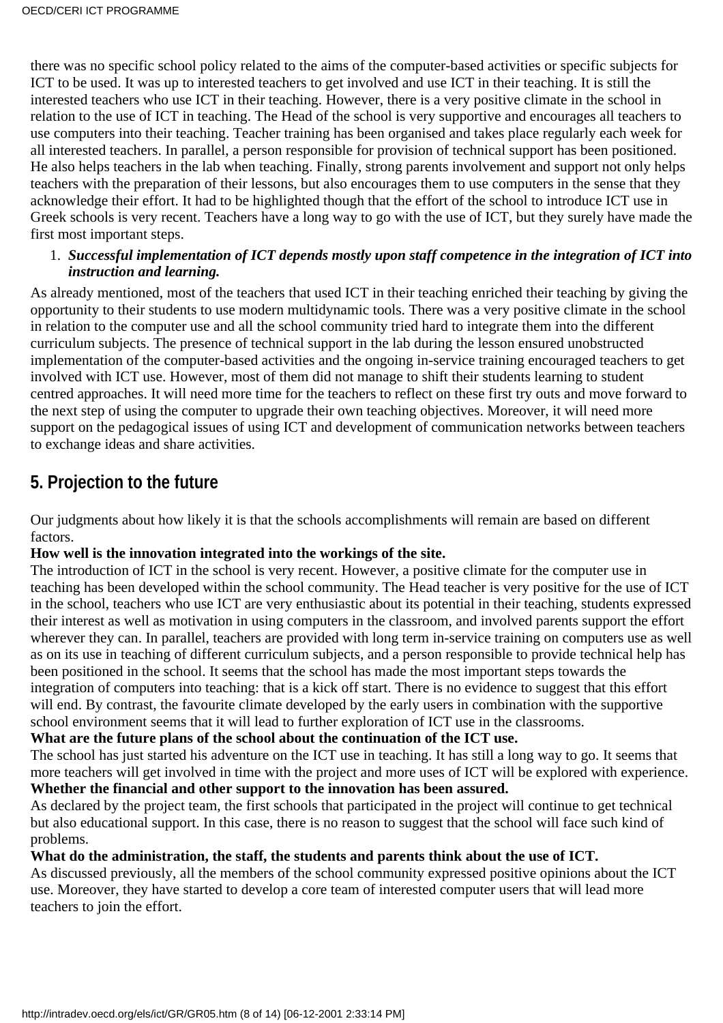there was no specific school policy related to the aims of the computer-based activities or specific subjects for ICT to be used. It was up to interested teachers to get involved and use ICT in their teaching. It is still the interested teachers who use ICT in their teaching. However, there is a very positive climate in the school in relation to the use of ICT in teaching. The Head of the school is very supportive and encourages all teachers to use computers into their teaching. Teacher training has been organised and takes place regularly each week for all interested teachers. In parallel, a person responsible for provision of technical support has been positioned. He also helps teachers in the lab when teaching. Finally, strong parents involvement and support not only helps teachers with the preparation of their lessons, but also encourages them to use computers in the sense that they acknowledge their effort. It had to be highlighted though that the effort of the school to introduce ICT use in Greek schools is very recent. Teachers have a long way to go with the use of ICT, but they surely have made the first most important steps.

### *Successful implementation of ICT depends mostly upon staff competence in the integration of ICT into* 1. *instruction and learning.*

As already mentioned, most of the teachers that used ICT in their teaching enriched their teaching by giving the opportunity to their students to use modern multidynamic tools. There was a very positive climate in the school in relation to the computer use and all the school community tried hard to integrate them into the different curriculum subjects. The presence of technical support in the lab during the lesson ensured unobstructed implementation of the computer-based activities and the ongoing in-service training encouraged teachers to get involved with ICT use. However, most of them did not manage to shift their students learning to student centred approaches. It will need more time for the teachers to reflect on these first try outs and move forward to the next step of using the computer to upgrade their own teaching objectives. Moreover, it will need more support on the pedagogical issues of using ICT and development of communication networks between teachers to exchange ideas and share activities.

# **5. Projection to the future**

Our judgments about how likely it is that the school s accomplishments will remain are based on different factors.

#### **How well is the innovation integrated into the workings of the site.**

The introduction of ICT in the school is very recent. However, a positive climate for the computer use in teaching has been developed within the school community. The Head teacher is very positive for the use of ICT in the school, teachers who use ICT are very enthusiastic about its potential in their teaching, students expressed their interest as well as motivation in using computers in the classroom, and involved parents support the effort wherever they can. In parallel, teachers are provided with long term in-service training on computers use as well as on its use in teaching of different curriculum subjects, and a person responsible to provide technical help has been positioned in the school. It seems that the school has made the most important steps towards the integration of computers into teaching: that is a kick off start. There is no evidence to suggest that this effort will end. By contrast, the favourite climate developed by the early users in combination with the supportive school environment seems that it will lead to further exploration of ICT use in the classrooms.

### **What are the future plans of the school about the continuation of the ICT use.**

The school has just started his adventure on the ICT use in teaching. It has still a long way to go. It seems that more teachers will get involved in time with the project and more uses of ICT will be explored with experience. **Whether the financial and other support to the innovation has been assured.**

As declared by the project team, the first schools that participated in the project will continue to get technical but also educational support. In this case, there is no reason to suggest that the school will face such kind of problems.

#### **What do the administration, the staff, the students and parents think about the use of ICT.**

As discussed previously, all the members of the school community expressed positive opinions about the ICT use. Moreover, they have started to develop a core team of interested computer users that will lead more teachers to join the effort.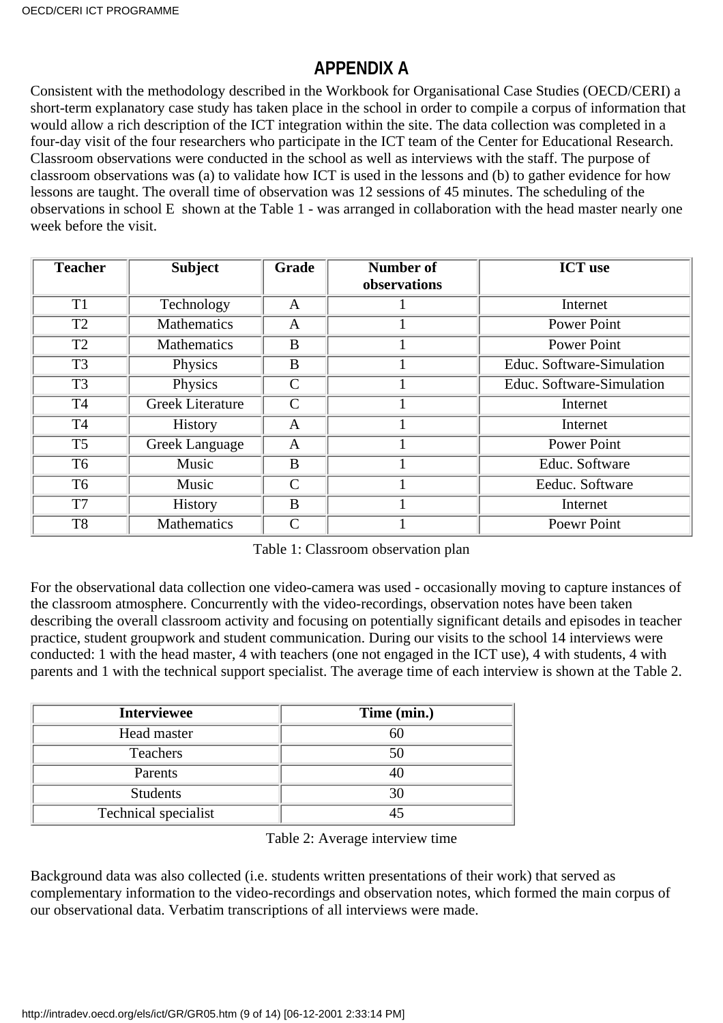# **APPENDIX A**

Consistent with the methodology described in the Workbook for Organisational Case Studies (OECD/CERI) a short-term explanatory case study has taken place in the school in order to compile a corpus of information that would allow a rich description of the ICT integration within the site. The data collection was completed in a four-day visit of the four researchers who participate in the ICT team of the Center for Educational Research. Classroom observations were conducted in the school as well as interviews with the staff. The purpose of classroom observations was (a) to validate how ICT is used in the lessons and (b) to gather evidence for how lessons are taught. The overall time of observation was 12 sessions of 45 minutes. The scheduling of the observations in school E shown at the Table 1 - was arranged in collaboration with the head master nearly one week before the visit.

| <b>Teacher</b> | <b>Subject</b>          | Grade         | <b>Number of</b> | <b>ICT</b> use            |
|----------------|-------------------------|---------------|------------------|---------------------------|
|                |                         |               | observations     |                           |
| T <sub>1</sub> | Technology              | A             |                  | Internet                  |
| T <sub>2</sub> | Mathematics             | A             |                  | <b>Power Point</b>        |
| T <sub>2</sub> | <b>Mathematics</b>      | B             |                  | <b>Power Point</b>        |
| T <sub>3</sub> | Physics                 | B             |                  | Educ. Software-Simulation |
| T <sub>3</sub> | Physics                 | $\mathcal{C}$ |                  | Educ. Software-Simulation |
| T <sub>4</sub> | <b>Greek Literature</b> | $\mathsf{C}$  |                  | Internet                  |
| <b>T4</b>      | <b>History</b>          | A             |                  | Internet                  |
| T <sub>5</sub> | Greek Language          | A             |                  | <b>Power Point</b>        |
| T <sub>6</sub> | Music                   | B             |                  | Educ. Software            |
| T <sub>6</sub> | Music                   | $\mathsf{C}$  |                  | Eeduc. Software           |
| T7             | <b>History</b>          | B             |                  | Internet                  |
| T <sub>8</sub> | Mathematics             | $\mathsf{C}$  |                  | <b>Poewr Point</b>        |

Table 1: Classroom observation plan

For the observational data collection one video-camera was used - occasionally moving to capture instances of the classroom atmosphere. Concurrently with the video-recordings, observation notes have been taken describing the overall classroom activity and focusing on potentially significant details and episodes in teacher practice, student groupwork and student communication. During our visits to the school 14 interviews were conducted: 1 with the head master, 4 with teachers (one not engaged in the ICT use), 4 with students, 4 with parents and 1 with the technical support specialist. The average time of each interview is shown at the Table 2.

| <b>Interviewee</b>   | Time (min.) |
|----------------------|-------------|
| Head master          | hl          |
| Teachers             | 50          |
| Parents              |             |
| <b>Students</b>      | 30          |
| Technical specialist |             |

Table 2: Average interview time

Background data was also collected (i.e. students written presentations of their work) that served as complementary information to the video-recordings and observation notes, which formed the main corpus of our observational data. Verbatim transcriptions of all interviews were made.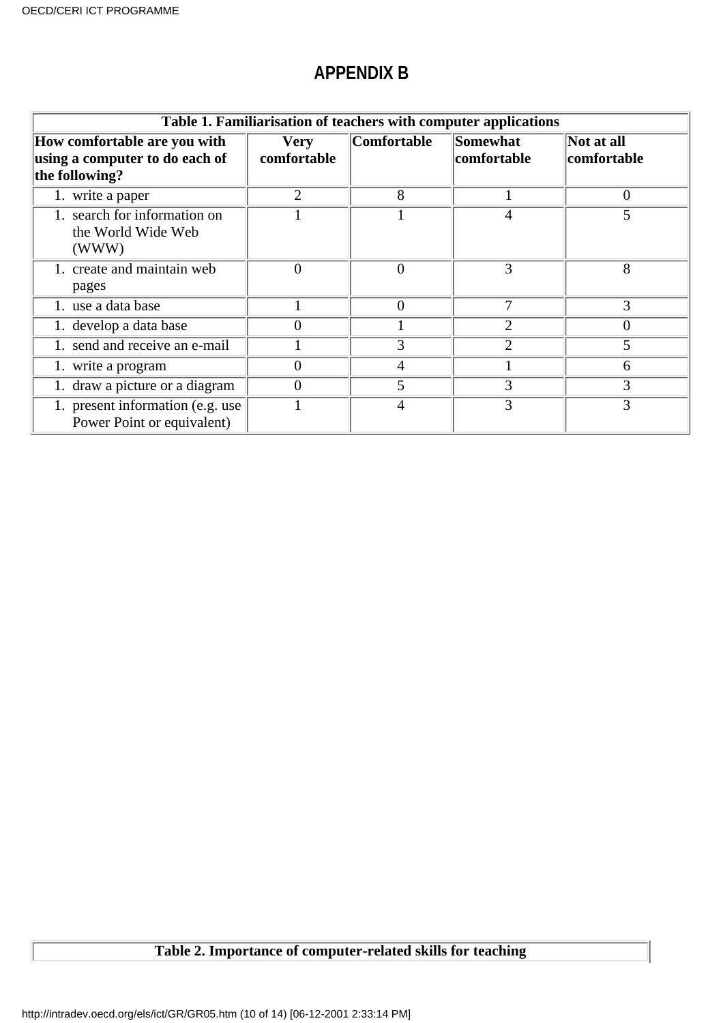### **APPENDIX B**

| Table 1. Familiarisation of teachers with computer applications                  |                            |                    |                             |                           |  |  |
|----------------------------------------------------------------------------------|----------------------------|--------------------|-----------------------------|---------------------------|--|--|
| How comfortable are you with<br>using a computer to do each of<br>the following? | <b>Very</b><br>comfortable | <b>Comfortable</b> | Somewhat<br>comfortable     | Not at all<br>comfortable |  |  |
| 1. write a paper                                                                 | $\overline{2}$             | 8                  |                             | $\overline{0}$            |  |  |
| search for information on<br>the World Wide Web<br>(WWW)                         |                            |                    | 4                           | 5                         |  |  |
| 1. create and maintain web<br>pages                                              | $\overline{0}$             | $\overline{0}$     | 3                           | 8                         |  |  |
| 1. use a data base                                                               |                            | $\overline{0}$     | 7                           | 3                         |  |  |
| 1. develop a data base                                                           | $\Omega$                   |                    | $\overline{2}$              | $\theta$                  |  |  |
| 1. send and receive an e-mail                                                    |                            | 3                  | $\mathcal{D}_{\mathcal{L}}$ | 5                         |  |  |
| 1. write a program                                                               | $\overline{0}$             | 4                  |                             | 6                         |  |  |
| 1. draw a picture or a diagram                                                   | $\Omega$                   | 5                  | 3                           | 3                         |  |  |
| 1. present information (e.g. use)<br>Power Point or equivalent)                  |                            | 4                  | 3                           | 3                         |  |  |

# **Table 2. Importance of computer-related skills for teaching**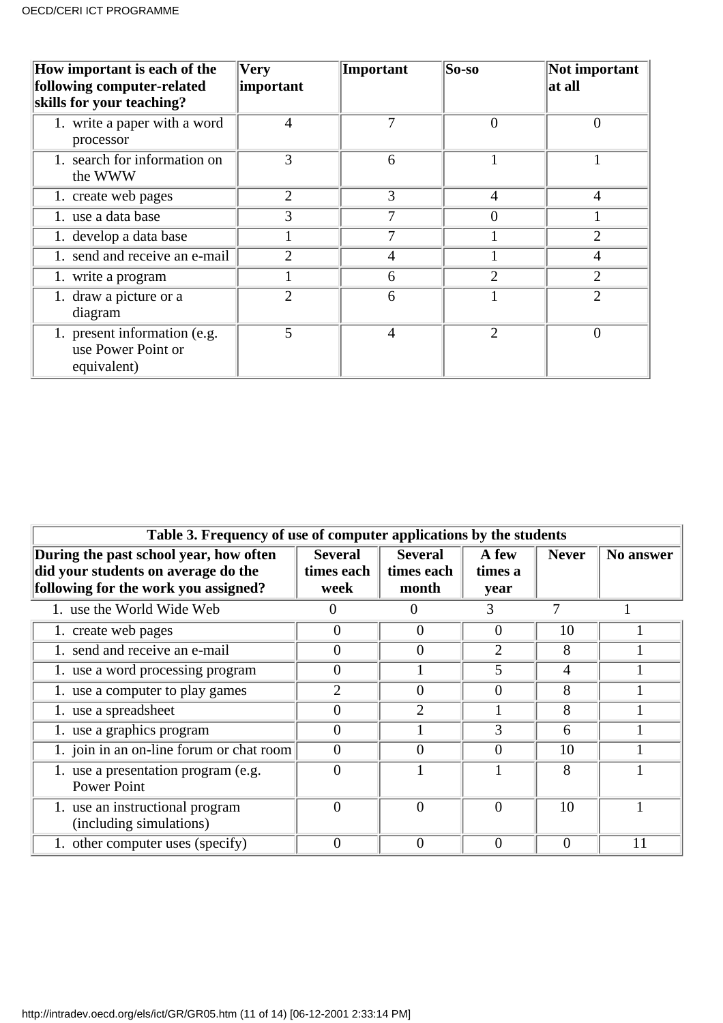| How important is each of the<br>following computer-related<br>skills for your teaching? | <b>Very</b><br>important | Important      | So-so                 | Not important<br>at all |
|-----------------------------------------------------------------------------------------|--------------------------|----------------|-----------------------|-------------------------|
| 1. write a paper with a word<br>processor                                               | 4                        | 7              | $\Omega$              | $\overline{0}$          |
| 1. search for information on<br>the WWW                                                 | 3                        | 6              |                       |                         |
| 1. create web pages                                                                     | $\overline{2}$           | 3              | $\overline{4}$        | 4                       |
| 1. use a data base                                                                      | 3                        | 7              | $\Omega$              |                         |
| 1. develop a data base                                                                  |                          |                |                       | 2                       |
| 1. send and receive an e-mail                                                           | っ                        | 4              |                       | 4                       |
| 1. write a program                                                                      |                          | 6              | $\overline{2}$        | $\overline{2}$          |
| 1. draw a picture or a<br>diagram                                                       | $\overline{2}$           | 6              |                       | $\overline{2}$          |
| 1. present information (e.g.<br>use Power Point or<br>equivalent)                       | 5                        | $\overline{4}$ | $\mathcal{D}_{\cdot}$ | $\theta$                |

| Table 3. Frequency of use of computer applications by the students                                                    |                                      |                                       |                          |              |           |
|-----------------------------------------------------------------------------------------------------------------------|--------------------------------------|---------------------------------------|--------------------------|--------------|-----------|
| During the past school year, how often<br>did your students on average do the<br>following for the work you assigned? | <b>Several</b><br>times each<br>week | <b>Several</b><br>times each<br>month | A few<br>times a<br>year | <b>Never</b> | No answer |
| 1. use the World Wide Web                                                                                             | $\left( \right)$                     |                                       | 3                        |              |           |
| 1. create web pages                                                                                                   | $\Omega$                             | $\overline{0}$                        | 0                        | 10           |           |
| 1. send and receive an e-mail                                                                                         | 0                                    | $\theta$                              | $\overline{2}$           | 8            |           |
| 1. use a word processing program                                                                                      | 0                                    |                                       | 5                        | 4            |           |
| 1. use a computer to play games                                                                                       | $\overline{2}$                       | $\theta$                              | 0                        | 8            |           |
| 1. use a spreadsheet                                                                                                  | $\Omega$                             | $\overline{2}$                        |                          | 8            |           |
| 1. use a graphics program                                                                                             | 0                                    |                                       | 3                        | 6            |           |
| 1. join in an on-line forum or chat room                                                                              | 0                                    | $\theta$                              | $\theta$                 | 10           |           |
| 1. use a presentation program (e.g.<br><b>Power Point</b>                                                             | 0                                    |                                       |                          | 8            |           |
| 1. use an instructional program<br>(including simulations)                                                            | 0                                    | $\theta$                              | $\theta$                 | 10           |           |
| 1. other computer uses (specify)                                                                                      |                                      | $\theta$                              | $\theta$                 | $\theta$     | 11        |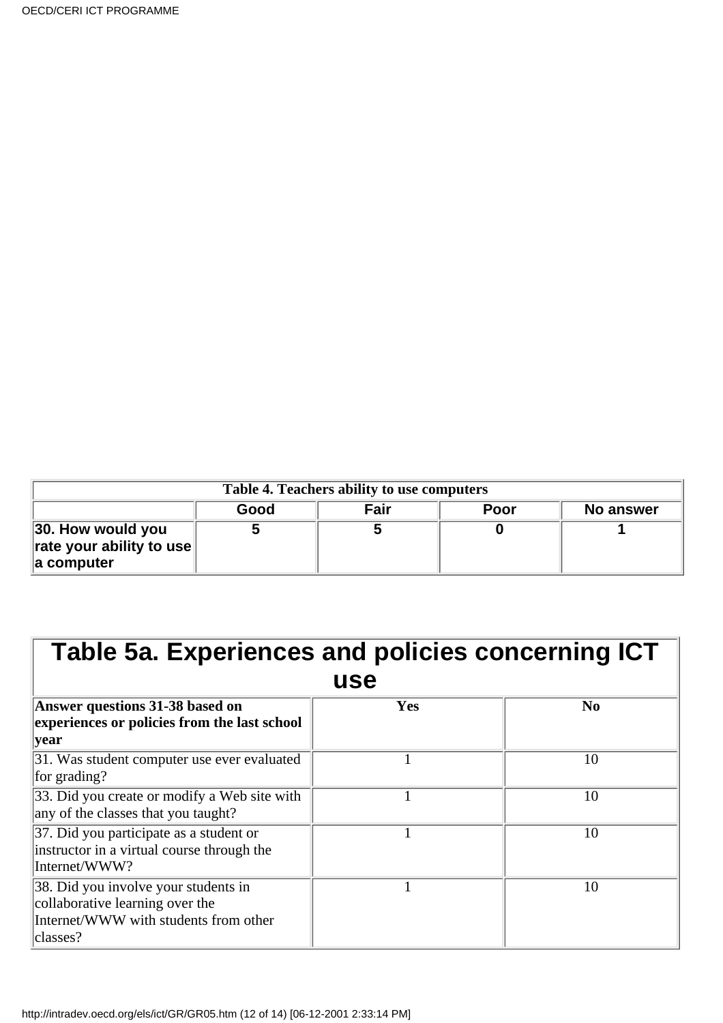| Table 4. Teachers ability to use computers                                        |      |      |             |           |  |
|-----------------------------------------------------------------------------------|------|------|-------------|-----------|--|
|                                                                                   | Good | Fair | <b>Poor</b> | No answer |  |
| $\parallel$ 30. How would you<br>$\ $ rate your ability to use<br>$\ $ a computer |      |      |             |           |  |

| Table 5a. Experiences and policies concerning ICT                                                                            |     |                |  |  |  |
|------------------------------------------------------------------------------------------------------------------------------|-----|----------------|--|--|--|
|                                                                                                                              | use |                |  |  |  |
| Answer questions 31-38 based on<br>experiences or policies from the last school<br> year                                     | Yes | N <sub>0</sub> |  |  |  |
| 31. Was student computer use ever evaluated<br>for grading?                                                                  |     | 10             |  |  |  |
| 33. Did you create or modify a Web site with<br>any of the classes that you taught?                                          |     | 10             |  |  |  |
| 37. Did you participate as a student or<br>instructor in a virtual course through the<br>Internet/WWW?                       |     | 10             |  |  |  |
| 38. Did you involve your students in<br>collaborative learning over the<br>Internet/WWW with students from other<br>classes? |     | 10             |  |  |  |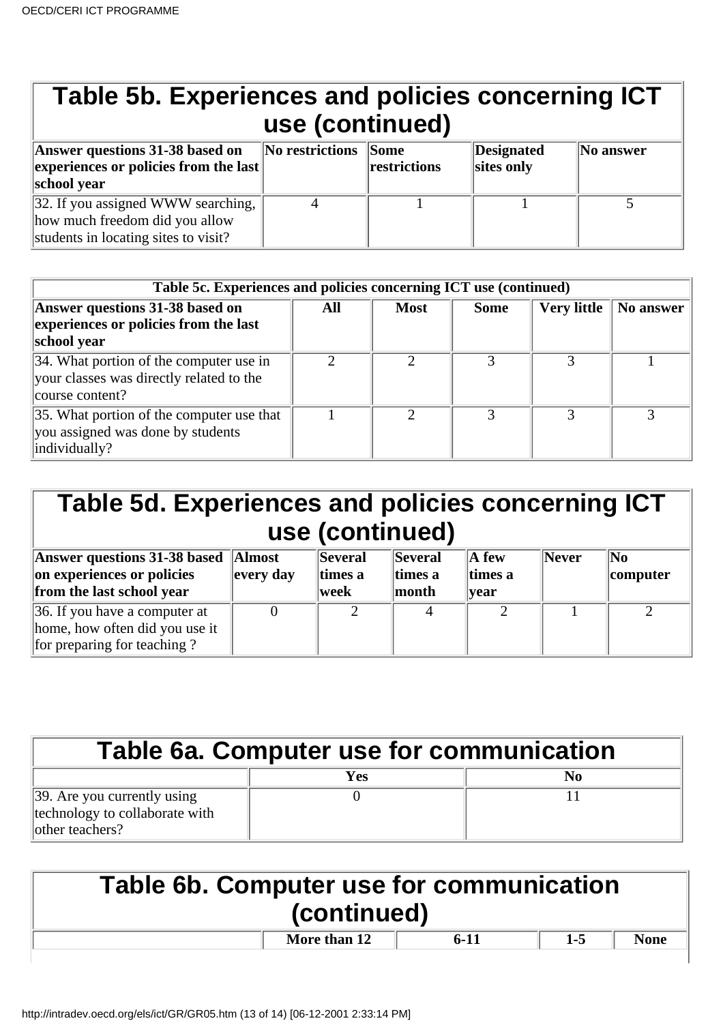| Table 5b. Experiences and policies concerning ICT<br>use (continued)                                         |                 |                                      |                          |           |  |
|--------------------------------------------------------------------------------------------------------------|-----------------|--------------------------------------|--------------------------|-----------|--|
| Answer questions 31-38 based on<br>experiences or policies from the last $\parallel$<br>school year          | No restrictions | $\sqrt{\text{Some}}$<br>restrictions | Designated<br>sites only | No answer |  |
| 32. If you assigned WWW searching,<br>how much freedom did you allow<br>students in locating sites to visit? |                 |                                      |                          |           |  |

| Table 5c. Experiences and policies concerning ICT use (continued)                                       |     |             |             |                    |           |
|---------------------------------------------------------------------------------------------------------|-----|-------------|-------------|--------------------|-----------|
| Answer questions 31-38 based on<br>experiences or policies from the last<br>school year                 | All | <b>Most</b> | <b>Some</b> | <b>Very little</b> | No answer |
| 34. What portion of the computer use in<br>your classes was directly related to the<br>course content?  |     |             |             |                    |           |
| $\vert$ 35. What portion of the computer use that<br>you assigned was done by students<br>individually? |     |             |             |                    |           |

| Table 5d. Experiences and policies concerning ICT |                |         |                |             |       |                |
|---------------------------------------------------|----------------|---------|----------------|-------------|-------|----------------|
| use (continued)                                   |                |         |                |             |       |                |
| <b>Answer questions 31-38 based Almost</b>        |                | Several | <b>Several</b> | $\ A\>$ few | Never | $\mathbf{N_0}$ |
| on experiences or policies                        | $\ $ every day | times a | times a        | times a     |       | $ $ computer   |
| from the last school year                         |                | week    | month          | year        |       |                |

| trom the last school year      | week | $\blacksquare$ month | vear |  |
|--------------------------------|------|----------------------|------|--|
| 36. If you have a computer at  |      |                      |      |  |
| home, how often did you use it |      |                      |      |  |
| for preparing for teaching?    |      |                      |      |  |

| Table 6a. Computer use for communication                                          |     |    |  |  |
|-----------------------------------------------------------------------------------|-----|----|--|--|
|                                                                                   | Yes | No |  |  |
| 39. Are you currently using<br>technology to collaborate with<br>lother teachers? |     |    |  |  |

| <b>Table 6b. Computer use for communication</b><br>(continued) |              |        |       |             |  |  |
|----------------------------------------------------------------|--------------|--------|-------|-------------|--|--|
|                                                                | More than 12 | $6-11$ | $1-5$ | <b>None</b> |  |  |